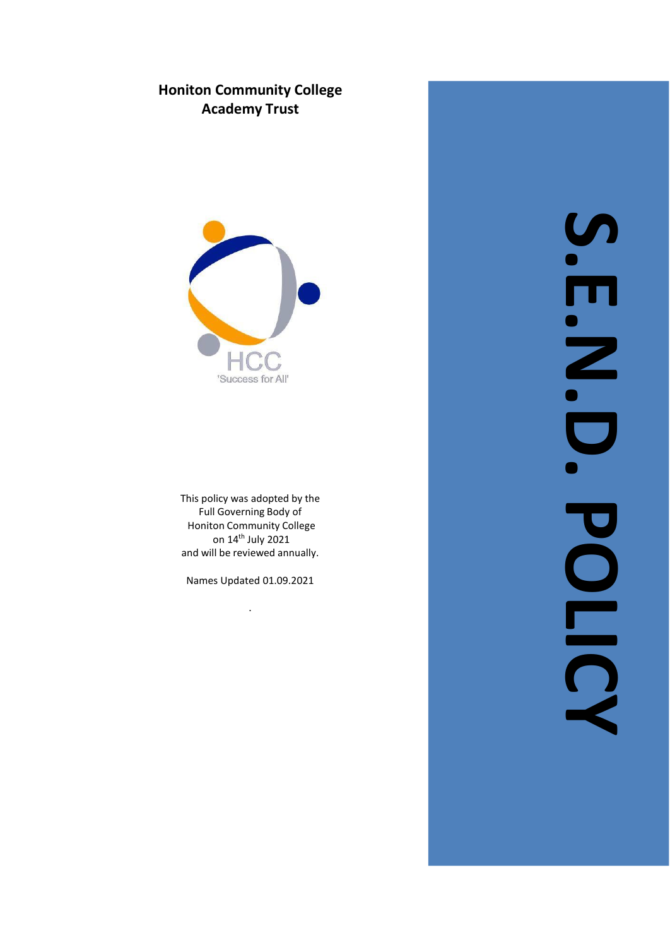# **Honiton Community College Ac a demy T r ust**



This policy was adopted by the Full Governing Body of Honiton Community College on 14th July 2021 and will be reviewed annually.

Names Updated 01.09.2021

.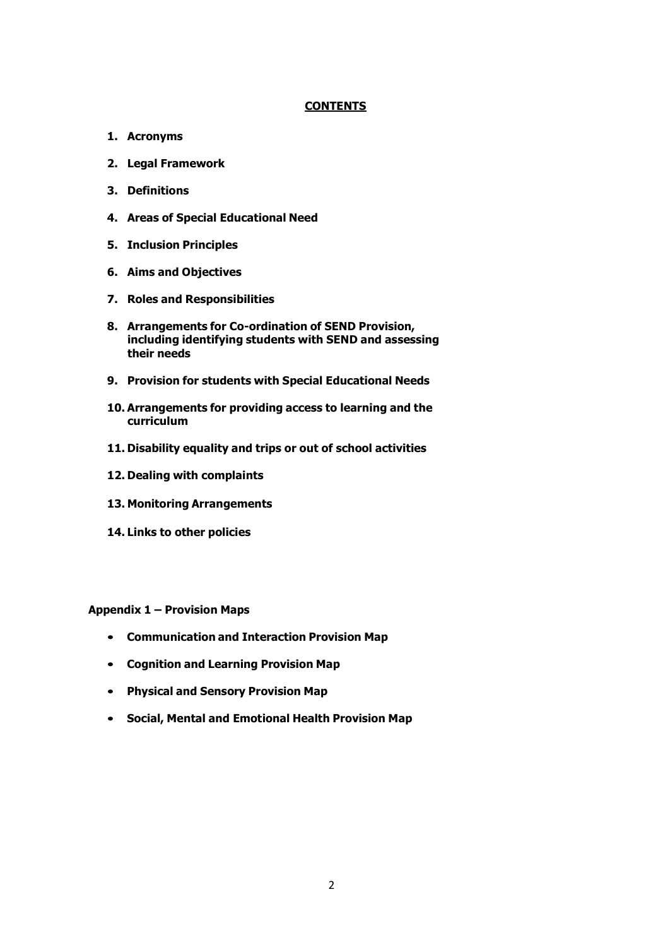## **CONTENTS**

- **1. Acronyms**
- **2. Legal Framework**
- **3. Definitions**
- **4. Areas of Special Educational Need**
- **5. Inclusion Principles**
- **6. Aims and Objectives**
- **7. Roles and Responsibilities**
- **8. Arrangements for Co-ordination of SEND Provision, including identifying students with SEND and assessing their needs**
- **9. Provision for students with Special Educational Needs**
- **10. Arrangements for providing access to learning and the curriculum**
- **11. Disability equality and trips or out of school activities**
- **12. Dealing with complaints**
- **13. Monitoring Arrangements**
- **14. Links to other policies**

**Appendix 1 – Provision Maps**

- **Communication and Interaction Provision Map**
- **Cognition and Learning Provision Map**
- **Physical and Sensory Provision Map**
- **Social, Mental and Emotional Health Provision Map**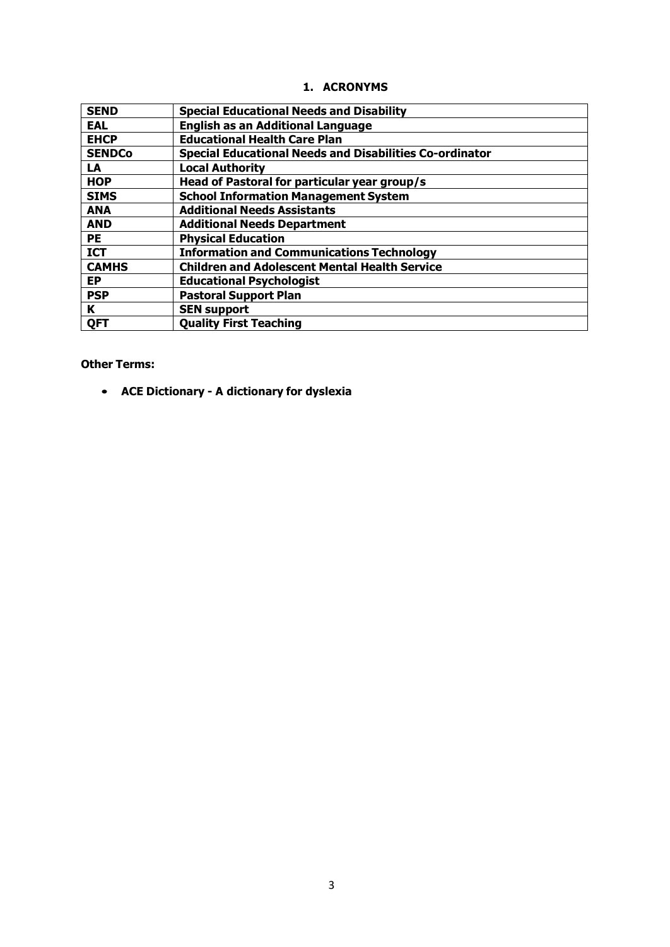|  | 1. ACRONYMS |
|--|-------------|
|--|-------------|

| <b>SEND</b>   | <b>Special Educational Needs and Disability</b>                |
|---------------|----------------------------------------------------------------|
| <b>EAL</b>    | <b>English as an Additional Language</b>                       |
| <b>EHCP</b>   | <b>Educational Health Care Plan</b>                            |
| <b>SENDCo</b> | <b>Special Educational Needs and Disabilities Co-ordinator</b> |
| LA            | <b>Local Authority</b>                                         |
| <b>HOP</b>    | Head of Pastoral for particular year group/s                   |
| <b>SIMS</b>   | <b>School Information Management System</b>                    |
| <b>ANA</b>    | <b>Additional Needs Assistants</b>                             |
| <b>AND</b>    | <b>Additional Needs Department</b>                             |
| <b>PE</b>     | <b>Physical Education</b>                                      |
| <b>ICT</b>    | <b>Information and Communications Technology</b>               |
| <b>CAMHS</b>  | <b>Children and Adolescent Mental Health Service</b>           |
| <b>EP</b>     | <b>Educational Psychologist</b>                                |
| <b>PSP</b>    | <b>Pastoral Support Plan</b>                                   |
| K             | <b>SEN support</b>                                             |
| QFT           | <b>Quality First Teaching</b>                                  |

## **Other Terms:**

• **ACE Dictionary - A dictionary for dyslexia**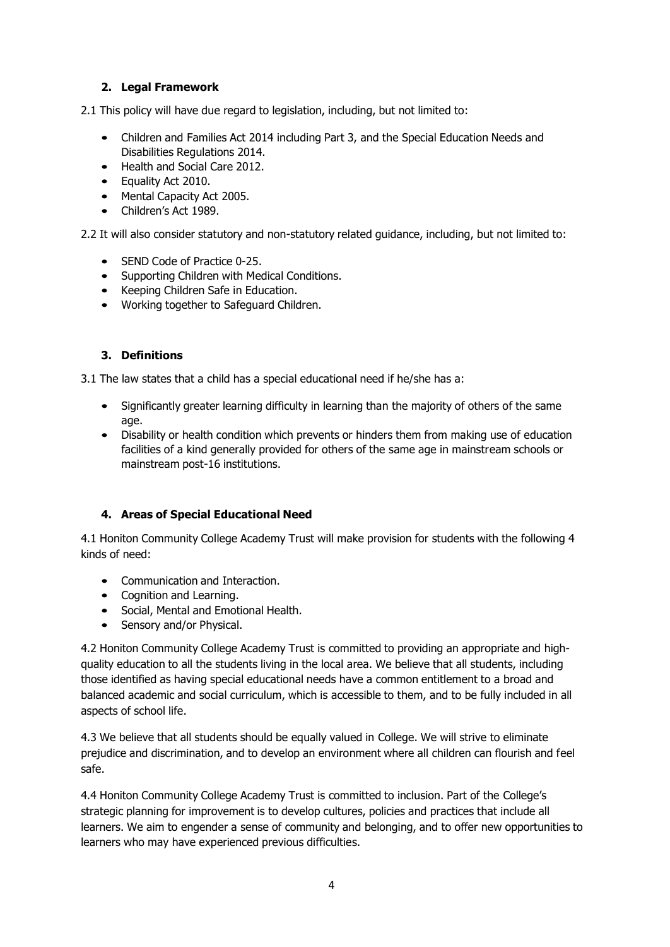## **2. Legal Framework**

2.1 This policy will have due regard to legislation, including, but not limited to:

- Children and Families Act 2014 including Part 3, and the Special Education Needs and Disabilities Regulations 2014.
- Health and Social Care 2012.
- Equality Act 2010.
- Mental Capacity Act 2005.
- Children's Act 1989.

2.2 It will also consider statutory and non-statutory related guidance, including, but not limited to:

- SEND Code of Practice 0-25.
- Supporting Children with Medical Conditions.
- Keeping Children Safe in Education.
- Working together to Safeguard Children.

## **3. Definitions**

3.1 The law states that a child has a special educational need if he/she has a:

- Significantly greater learning difficulty in learning than the majority of others of the same age.
- Disability or health condition which prevents or hinders them from making use of education facilities of a kind generally provided for others of the same age in mainstream schools or mainstream post-16 institutions.

## **4. Areas of Special Educational Need**

4.1 Honiton Community College Academy Trust will make provision for students with the following 4 kinds of need:

- Communication and Interaction.
- Cognition and Learning.
- Social, Mental and Emotional Health.
- Sensory and/or Physical.

4.2 Honiton Community College Academy Trust is committed to providing an appropriate and highquality education to all the students living in the local area. We believe that all students, including those identified as having special educational needs have a common entitlement to a broad and balanced academic and social curriculum, which is accessible to them, and to be fully included in all aspects of school life.

4.3 We believe that all students should be equally valued in College. We will strive to eliminate prejudice and discrimination, and to develop an environment where all children can flourish and feel safe.

4.4 Honiton Community College Academy Trust is committed to inclusion. Part of the College's strategic planning for improvement is to develop cultures, policies and practices that include all learners. We aim to engender a sense of community and belonging, and to offer new opportunities to learners who may have experienced previous difficulties.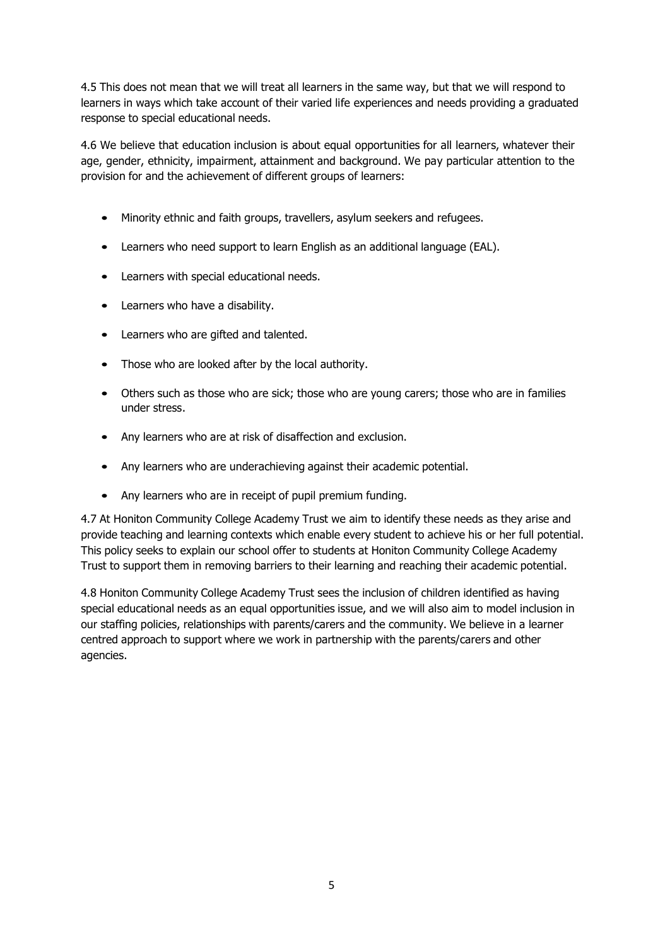4.5 This does not mean that we will treat all learners in the same way, but that we will respond to learners in ways which take account of their varied life experiences and needs providing a graduated response to special educational needs.

4.6 We believe that education inclusion is about equal opportunities for all learners, whatever their age, gender, ethnicity, impairment, attainment and background. We pay particular attention to the provision for and the achievement of different groups of learners:

- Minority ethnic and faith groups, travellers, asylum seekers and refugees.
- Learners who need support to learn English as an additional language (EAL).
- Learners with special educational needs.
- Learners who have a disability.
- Learners who are gifted and talented.
- Those who are looked after by the local authority.
- Others such as those who are sick; those who are young carers; those who are in families under stress.
- Any learners who are at risk of disaffection and exclusion.
- Any learners who are underachieving against their academic potential.
- Any learners who are in receipt of pupil premium funding.

4.7 At Honiton Community College Academy Trust we aim to identify these needs as they arise and provide teaching and learning contexts which enable every student to achieve his or her full potential. This policy seeks to explain our school offer to students at Honiton Community College Academy Trust to support them in removing barriers to their learning and reaching their academic potential.

4.8 Honiton Community College Academy Trust sees the inclusion of children identified as having special educational needs as an equal opportunities issue, and we will also aim to model inclusion in our staffing policies, relationships with parents/carers and the community. We believe in a learner centred approach to support where we work in partnership with the parents/carers and other agencies.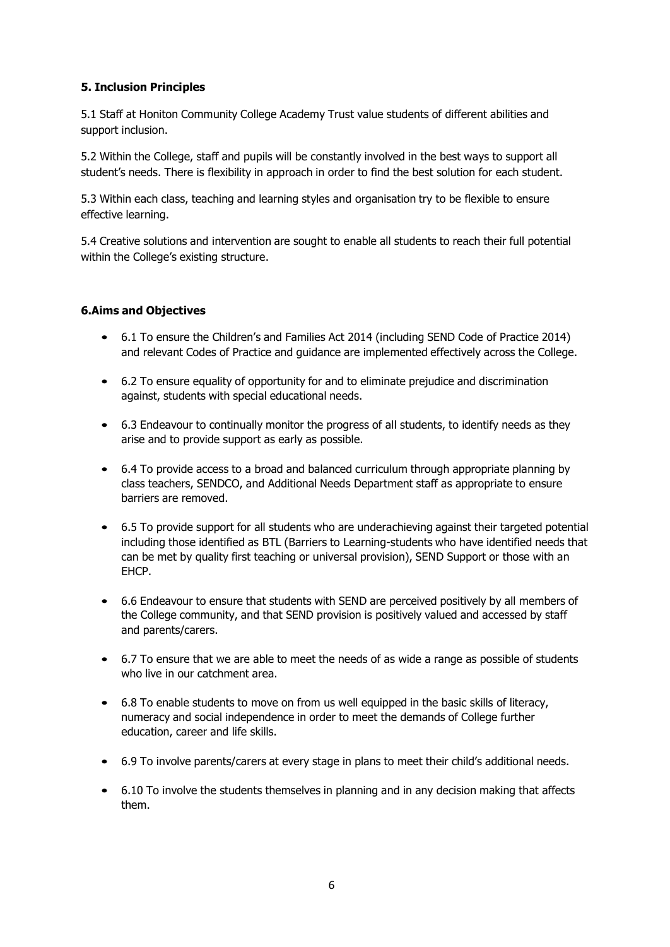## **5. Inclusion Principles**

5.1 Staff at Honiton Community College Academy Trust value students of different abilities and support inclusion.

5.2 Within the College, staff and pupils will be constantly involved in the best ways to support all student's needs. There is flexibility in approach in order to find the best solution for each student.

5.3 Within each class, teaching and learning styles and organisation try to be flexible to ensure effective learning.

5.4 Creative solutions and intervention are sought to enable all students to reach their full potential within the College's existing structure.

#### **6.Aims and Objectives**

- 6.1 To ensure the Children's and Families Act 2014 (including SEND Code of Practice 2014) and relevant Codes of Practice and guidance are implemented effectively across the College.
- 6.2 To ensure equality of opportunity for and to eliminate prejudice and discrimination against, students with special educational needs.
- 6.3 Endeavour to continually monitor the progress of all students, to identify needs as they arise and to provide support as early as possible.
- 6.4 To provide access to a broad and balanced curriculum through appropriate planning by class teachers, SENDCO, and Additional Needs Department staff as appropriate to ensure barriers are removed.
- 6.5 To provide support for all students who are underachieving against their targeted potential including those identified as BTL (Barriers to Learning-students who have identified needs that can be met by quality first teaching or universal provision), SEND Support or those with an EHCP.
- 6.6 Endeavour to ensure that students with SEND are perceived positively by all members of the College community, and that SEND provision is positively valued and accessed by staff and parents/carers.
- 6.7 To ensure that we are able to meet the needs of as wide a range as possible of students who live in our catchment area.
- 6.8 To enable students to move on from us well equipped in the basic skills of literacy, numeracy and social independence in order to meet the demands of College further education, career and life skills.
- 6.9 To involve parents/carers at every stage in plans to meet their child's additional needs.
- 6.10 To involve the students themselves in planning and in any decision making that affects them.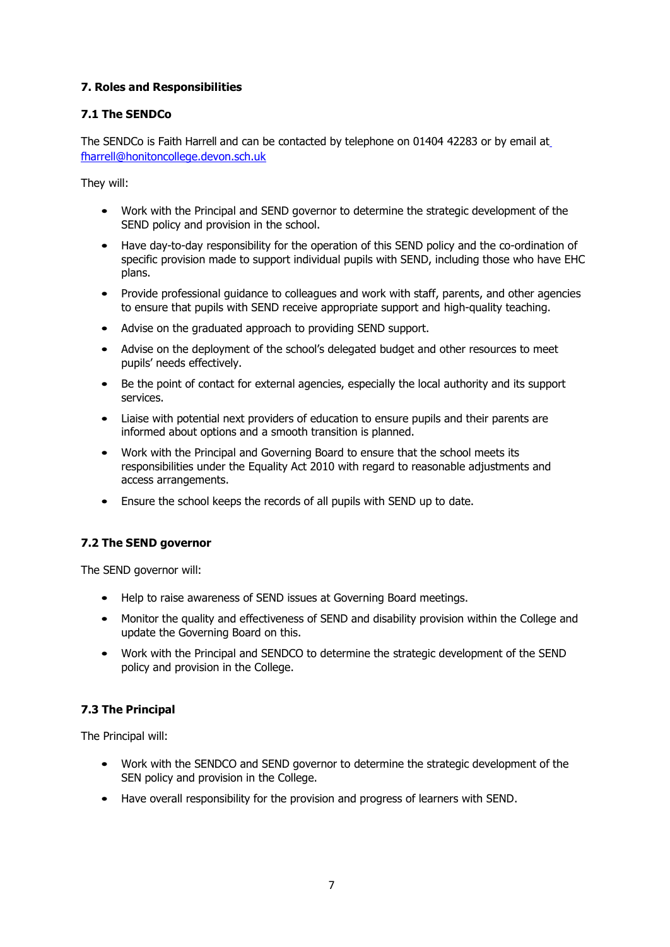## **7. Roles and Responsibilities**

## **7.1 The SENDCo**

The SENDCo is Faith Harrell and can be contacted by telephone on 01404 42283 or by email a[t](mailto:%20fharrell@honitoncollege.devon.sch.uk) [fharrell@honitoncollege.devon.sch.uk](mailto:%20fharrell@honitoncollege.devon.sch.uk)

They will:

- Work with the Principal and SEND governor to determine the strategic development of the SEND policy and provision in the school.
- Have day-to-day responsibility for the operation of this SEND policy and the co-ordination of specific provision made to support individual pupils with SEND, including those who have EHC plans.
- Provide professional quidance to colleagues and work with staff, parents, and other agencies to ensure that pupils with SEND receive appropriate support and high-quality teaching.
- Advise on the graduated approach to providing SEND support.
- Advise on the deployment of the school's delegated budget and other resources to meet pupils' needs effectively.
- Be the point of contact for external agencies, especially the local authority and its support services.
- Liaise with potential next providers of education to ensure pupils and their parents are informed about options and a smooth transition is planned.
- Work with the Principal and Governing Board to ensure that the school meets its responsibilities under the Equality Act 2010 with regard to reasonable adjustments and access arrangements.
- Ensure the school keeps the records of all pupils with SEND up to date.

## **7.2 The SEND governor**

The SEND governor will:

- Help to raise awareness of SEND issues at Governing Board meetings.
- Monitor the quality and effectiveness of SEND and disability provision within the College and update the Governing Board on this.
- Work with the Principal and SENDCO to determine the strategic development of the SEND policy and provision in the College.

## **7.3 The Principal**

The Principal will:

- Work with the SENDCO and SEND governor to determine the strategic development of the SEN policy and provision in the College.
- Have overall responsibility for the provision and progress of learners with SEND.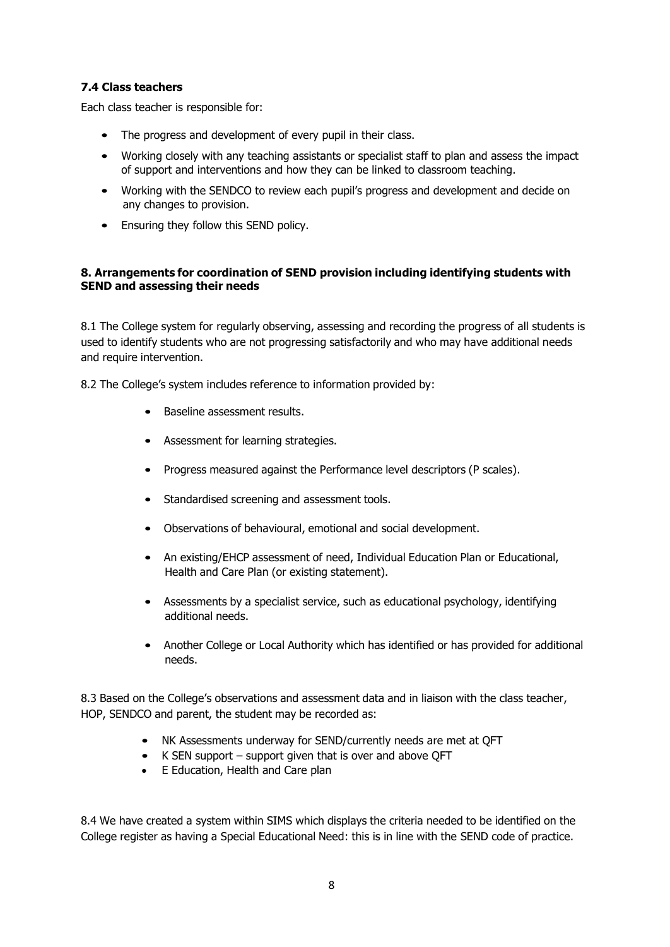## **7.4 Class teachers**

Each class teacher is responsible for:

- The progress and development of every pupil in their class.
- Working closely with any teaching assistants or specialist staff to plan and assess the impact of support and interventions and how they can be linked to classroom teaching.
- Working with the SENDCO to review each pupil's progress and development and decide on any changes to provision.
- Ensuring they follow this SEND policy.

#### **8. Arrangements for coordination of SEND provision including identifying students with SEND and assessing their needs**

8.1 The College system for regularly observing, assessing and recording the progress of all students is used to identify students who are not progressing satisfactorily and who may have additional needs and require intervention.

8.2 The College's system includes reference to information provided by:

- Baseline assessment results.
- Assessment for learning strategies.
- Progress measured against the Performance level descriptors (P scales).
- Standardised screening and assessment tools.
- Observations of behavioural, emotional and social development.
- An existing/EHCP assessment of need, Individual Education Plan or Educational, Health and Care Plan (or existing statement).
- Assessments by a specialist service, such as educational psychology, identifying additional needs.
- Another College or Local Authority which has identified or has provided for additional needs.

8.3 Based on the College's observations and assessment data and in liaison with the class teacher, HOP, SENDCO and parent, the student may be recorded as:

- NK Assessments underway for SEND/currently needs are met at QFT
- K SEN support support given that is over and above QFT
- E Education, Health and Care plan

8.4 We have created a system within SIMS which displays the criteria needed to be identified on the College register as having a Special Educational Need: this is in line with the SEND code of practice.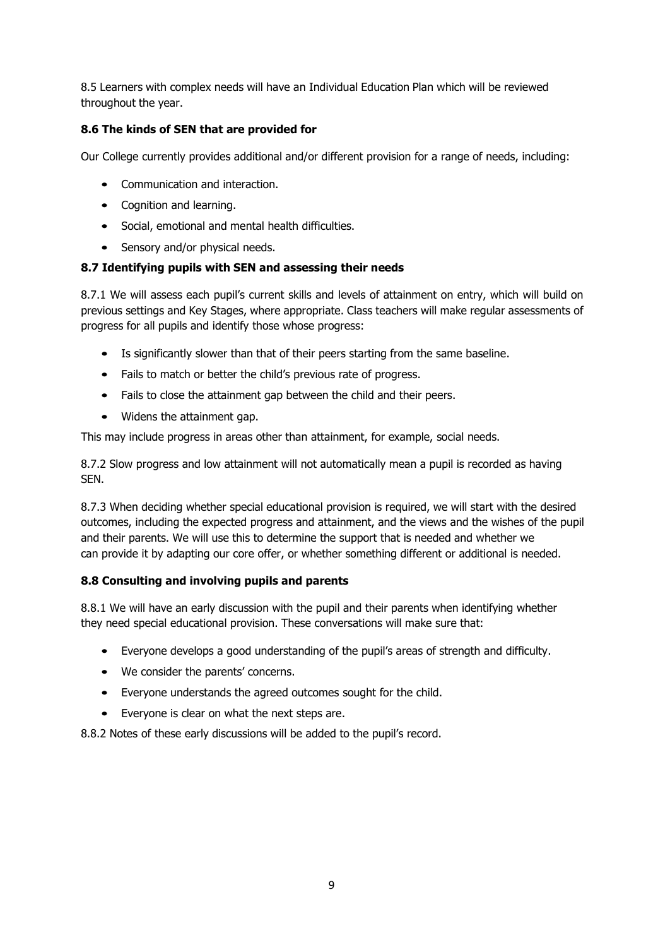8.5 Learners with complex needs will have an Individual Education Plan which will be reviewed throughout the year.

## **8.6 The kinds of SEN that are provided for**

Our College currently provides additional and/or different provision for a range of needs, including:

- Communication and interaction.
- Cognition and learning.
- Social, emotional and mental health difficulties.
- Sensory and/or physical needs.

## **8.7 Identifying pupils with SEN and assessing their needs**

8.7.1 We will assess each pupil's current skills and levels of attainment on entry, which will build on previous settings and Key Stages, where appropriate. Class teachers will make regular assessments of progress for all pupils and identify those whose progress:

- Is significantly slower than that of their peers starting from the same baseline.
- Fails to match or better the child's previous rate of progress.
- Fails to close the attainment gap between the child and their peers.
- Widens the attainment gap.

This may include progress in areas other than attainment, for example, social needs.

8.7.2 Slow progress and low attainment will not automatically mean a pupil is recorded as having SEN.

8.7.3 When deciding whether special educational provision is required, we will start with the desired outcomes, including the expected progress and attainment, and the views and the wishes of the pupil and their parents. We will use this to determine the support that is needed and whether we can provide it by adapting our core offer, or whether something different or additional is needed.

## **8.8 Consulting and involving pupils and parents**

8.8.1 We will have an early discussion with the pupil and their parents when identifying whether they need special educational provision. These conversations will make sure that:

- Everyone develops a good understanding of the pupil's areas of strength and difficulty.
- We consider the parents' concerns.
- Everyone understands the agreed outcomes sought for the child.
- Everyone is clear on what the next steps are.

8.8.2 Notes of these early discussions will be added to the pupil's record.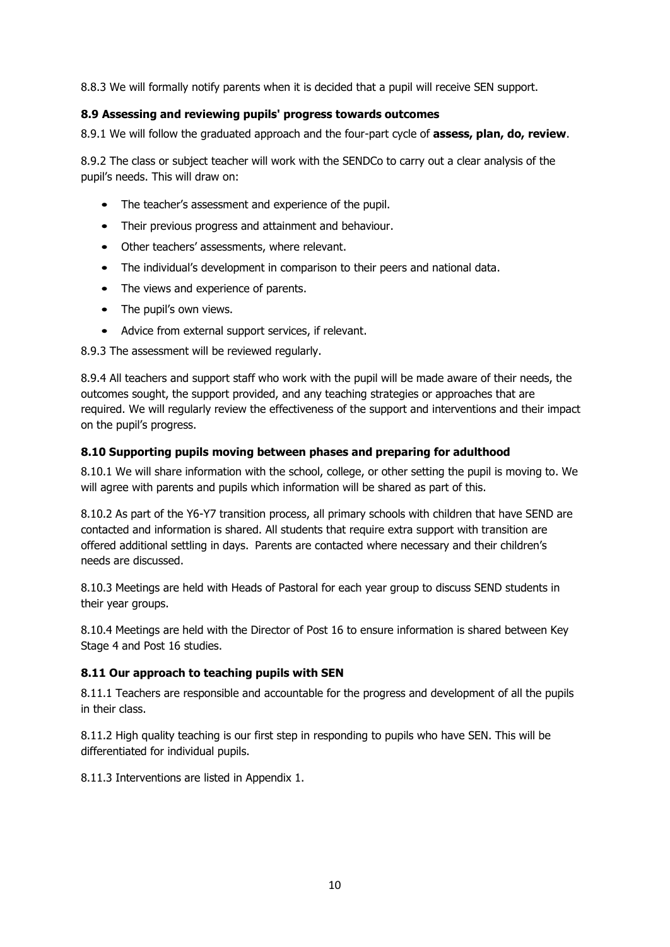8.8.3 We will formally notify parents when it is decided that a pupil will receive SEN support.

## **8.9 Assessing and reviewing pupils' progress towards outcomes**

8.9.1 We will follow the graduated approach and the four-part cycle of **assess, plan, do, review**.

8.9.2 The class or subject teacher will work with the SENDCo to carry out a clear analysis of the pupil's needs. This will draw on:

- The teacher's assessment and experience of the pupil.
- Their previous progress and attainment and behaviour.
- Other teachers' assessments, where relevant.
- The individual's development in comparison to their peers and national data.
- The views and experience of parents.
- The pupil's own views.
- Advice from external support services, if relevant.

8.9.3 The assessment will be reviewed regularly.

8.9.4 All teachers and support staff who work with the pupil will be made aware of their needs, the outcomes sought, the support provided, and any teaching strategies or approaches that are required. We will regularly review the effectiveness of the support and interventions and their impact on the pupil's progress.

#### **8.10 Supporting pupils moving between phases and preparing for adulthood**

8.10.1 We will share information with the school, college, or other setting the pupil is moving to. We will agree with parents and pupils which information will be shared as part of this.

8.10.2 As part of the Y6-Y7 transition process, all primary schools with children that have SEND are contacted and information is shared. All students that require extra support with transition are offered additional settling in days. Parents are contacted where necessary and their children's needs are discussed.

8.10.3 Meetings are held with Heads of Pastoral for each year group to discuss SEND students in their year groups.

8.10.4 Meetings are held with the Director of Post 16 to ensure information is shared between Key Stage 4 and Post 16 studies.

#### **8.11 Our approach to teaching pupils with SEN**

8.11.1 Teachers are responsible and accountable for the progress and development of all the pupils in their class.

8.11.2 High quality teaching is our first step in responding to pupils who have SEN. This will be differentiated for individual pupils.

8.11.3 Interventions are listed in Appendix 1.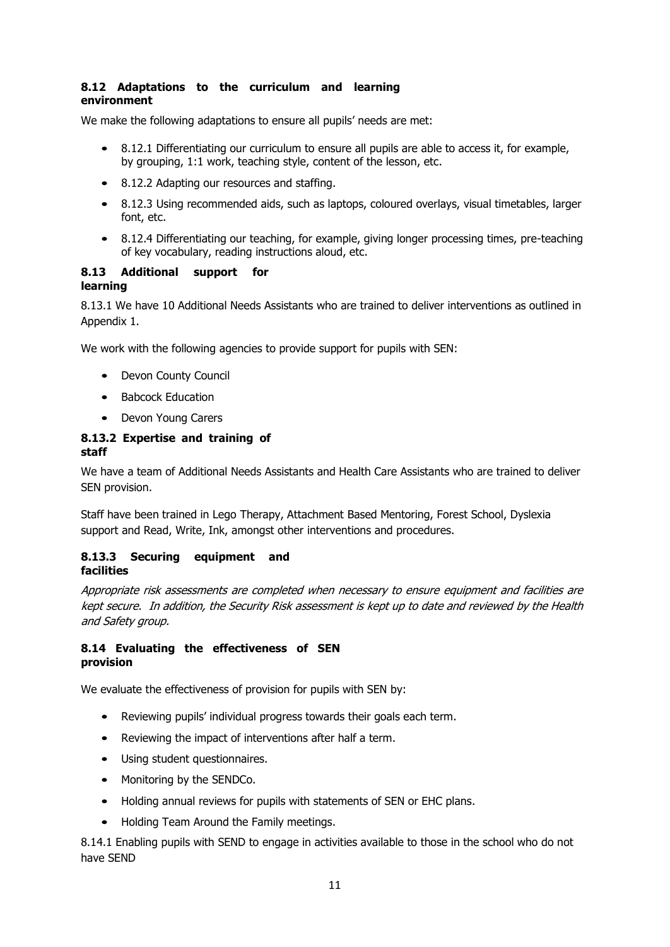#### **8.12 Adaptations to the curriculum and learning environment**

We make the following adaptations to ensure all pupils' needs are met:

- 8.12.1 Differentiating our curriculum to ensure all pupils are able to access it, for example, by grouping, 1:1 work, teaching style, content of the lesson, etc.
- 8.12.2 Adapting our resources and staffing.
- 8.12.3 Using recommended aids, such as laptops, coloured overlays, visual timetables, larger font, etc.
- 8.12.4 Differentiating our teaching, for example, giving longer processing times, pre-teaching of key vocabulary, reading instructions aloud, etc.

#### **8.13 Additional support for learning**

8.13.1 We have 10 Additional Needs Assistants who are trained to deliver interventions as outlined in Appendix 1.

We work with the following agencies to provide support for pupils with SEN:

- Devon County Council
- Babcock Education
- Devon Young Carers

#### **8.13.2 Expertise and training of staff**

We have a team of Additional Needs Assistants and Health Care Assistants who are trained to deliver SEN provision.

Staff have been trained in Lego Therapy, Attachment Based Mentoring, Forest School, Dyslexia support and Read, Write, Ink, amongst other interventions and procedures.

#### **8.13.3 Securing equipment and facilities**

Appropriate risk assessments are completed when necessary to ensure equipment and facilities are kept secure. In addition, the Security Risk assessment is kept up to date and reviewed by the Health and Safety group.

#### **8.14 Evaluating the effectiveness of SEN provision**

We evaluate the effectiveness of provision for pupils with SEN by:

- Reviewing pupils' individual progress towards their goals each term.
- Reviewing the impact of interventions after half a term.
- Using student questionnaires.
- Monitoring by the SENDCo.
- Holding annual reviews for pupils with statements of SEN or EHC plans.
- Holding Team Around the Family meetings.

8.14.1 Enabling pupils with SEND to engage in activities available to those in the school who do not have SEND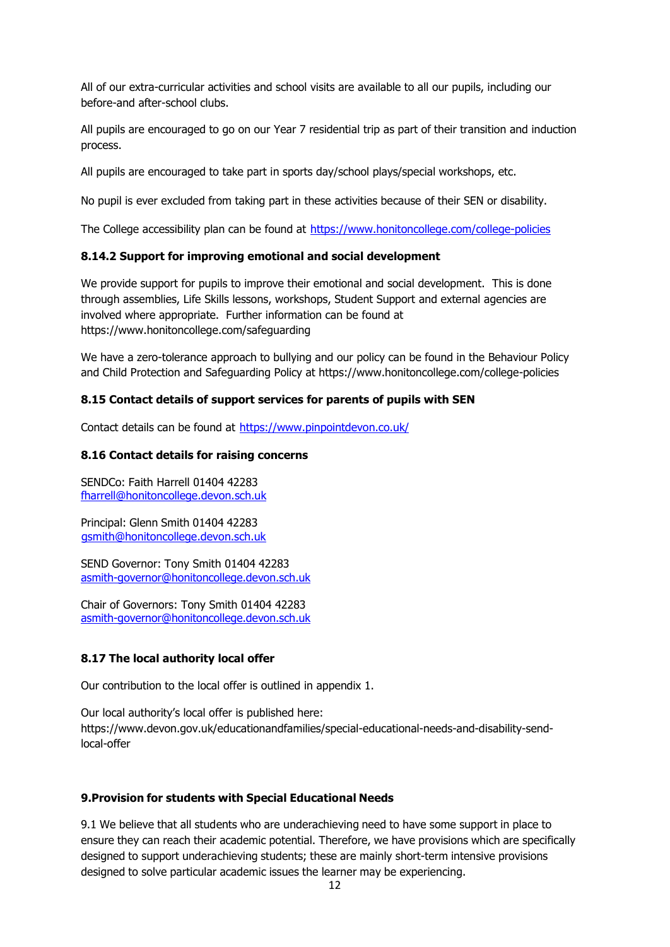All of our extra-curricular activities and school visits are available to all our pupils, including our before-and after-school clubs.

All pupils are encouraged to go on our Year 7 residential trip as part of their transition and induction process.

All pupils are encouraged to take part in sports day/school plays/special workshops, etc.

No pupil is ever excluded from taking part in these activities because of their SEN or disability.

The College accessibility plan can be found at<https://www.honitoncollege.com/college-policies>

#### **8.14.2 Support for improving emotional and social development**

We provide support for pupils to improve their emotional and social development. This is done through assemblies, Life Skills lessons, workshops, Student Support and external agencies are involved where appropriate. Further information can be found at https:/[/www.honitoncollege.com/safeguarding](http://www.honitoncollege.com/safeguarding)

We have a zero-tolerance approach to bullying and our policy can be found in the Behaviour Policy and Child Protection and Safeguarding Policy at https:/[/www.honitoncollege.com/college-policies](http://www.honitoncollege.com/college-policies)

#### **8.15 Contact details of support services for parents of pupils with SEN**

Contact details can be found at<https://www.pinpointdevon.co.uk/>

#### **8.16 Contact details for raising concerns**

SENDCo: Faith Harrell 01404 42283 [fharrell@honitoncollege.devon.sch.uk](mailto:fharrell@honitoncollege.devon.sch.uk)

Principal: Glenn Smith 01404 42283 [gsmith@honitoncollege.devon.sch.uk](mailto:gsmith@honitoncollege.devon.sch.uk)

SEND Governor: Tony Smith 01404 42283 [asmith-governor@honitoncollege.devon.sch.uk](mailto:asmith-governor@honitoncollege.devon.sch.uk)

Chair of Governors: Tony Smith 01404 42283 [asmith-governor@honitoncollege.devon.sch.uk](mailto:asmith-governor@honitoncollege.devon.sch.uk)

## **8.17 The local authority local offer**

Our contribution to the local offer is outlined in appendix 1.

Our local authority's local offer is published here: https:/[/www.devon.gov.uk/educationandfamilies/special-educational-needs-and-disability-send](http://www.devon.gov.uk/educationandfamilies/special-educational-needs-and-disability-send-)local-offer

## **9.Provision for students with Special Educational Needs**

9.1 We believe that all students who are underachieving need to have some support in place to ensure they can reach their academic potential. Therefore, we have provisions which are specifically designed to support underachieving students; these are mainly short-term intensive provisions designed to solve particular academic issues the learner may be experiencing.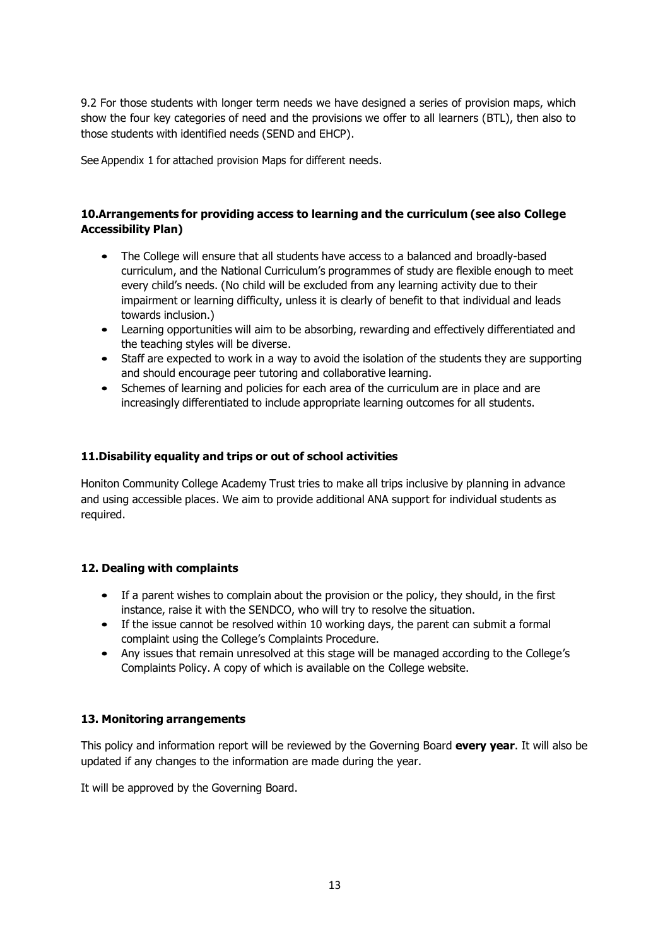9.2 For those students with longer term needs we have designed a series of provision maps, which show the four key categories of need and the provisions we offer to all learners (BTL), then also to those students with identified needs (SEND and EHCP).

See Appendix 1 for attached provision Maps for different needs.

## **10.Arrangements for providing access to learning and the curriculum (see also College Accessibility Plan)**

- The College will ensure that all students have access to a balanced and broadly-based curriculum, and the National Curriculum's programmes of study are flexible enough to meet every child's needs. (No child will be excluded from any learning activity due to their impairment or learning difficulty, unless it is clearly of benefit to that individual and leads towards inclusion.)
- Learning opportunities will aim to be absorbing, rewarding and effectively differentiated and the teaching styles will be diverse.
- Staff are expected to work in a way to avoid the isolation of the students they are supporting and should encourage peer tutoring and collaborative learning.
- Schemes of learning and policies for each area of the curriculum are in place and are increasingly differentiated to include appropriate learning outcomes for all students.

#### **11.Disability equality and trips or out of school activities**

Honiton Community College Academy Trust tries to make all trips inclusive by planning in advance and using accessible places. We aim to provide additional ANA support for individual students as required.

## **12. Dealing with complaints**

- If a parent wishes to complain about the provision or the policy, they should, in the first instance, raise it with the SENDCO, who will try to resolve the situation.
- If the issue cannot be resolved within 10 working days, the parent can submit a formal complaint using the College's Complaints Procedure.
- Any issues that remain unresolved at this stage will be managed according to the College's Complaints Policy. A copy of which is available on the College website.

## **13. Monitoring arrangements**

This policy and information report will be reviewed by the Governing Board **every year**. It will also be updated if any changes to the information are made during the year.

It will be approved by the Governing Board.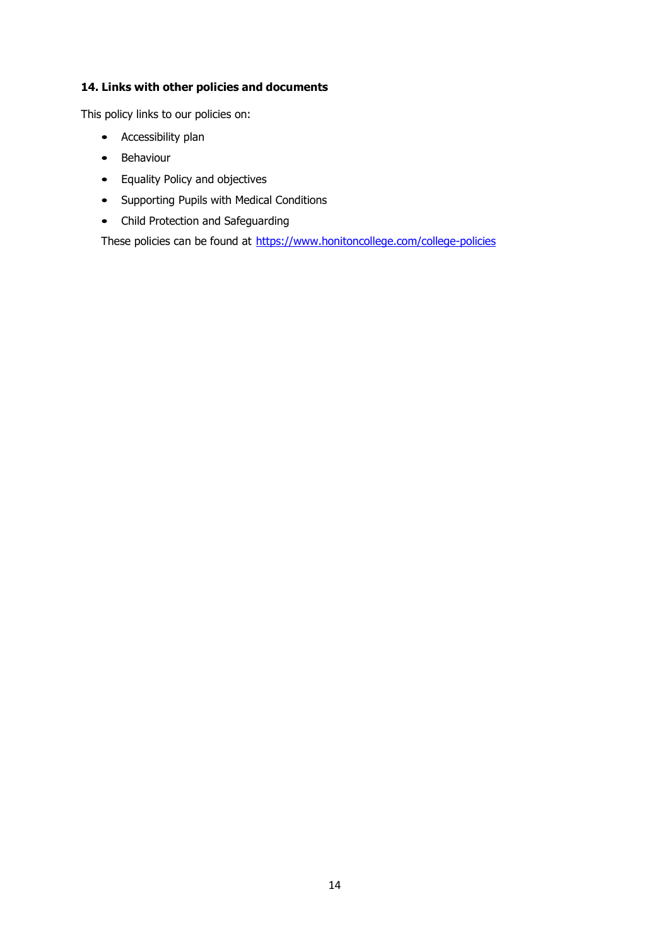## **14. Links with other policies and documents**

This policy links to our policies on:

- Accessibility plan
- Behaviour
- Equality Policy and objectives
- Supporting Pupils with Medical Conditions
- Child Protection and Safeguarding

These policies can be found at<https://www.honitoncollege.com/college-policies>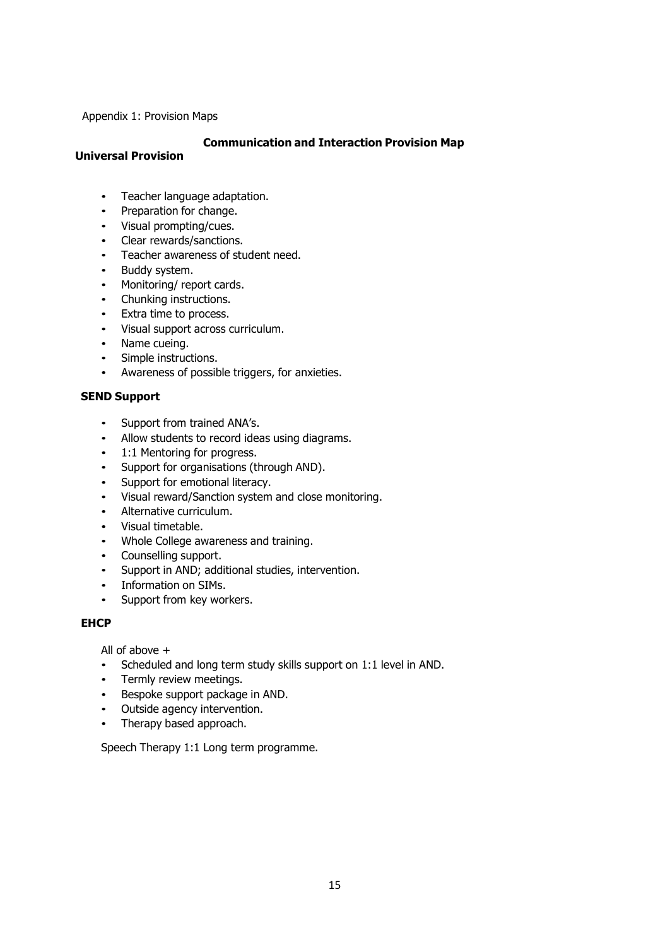Appendix 1: Provision Maps

#### **Communication and Interaction Provision Map**

## **Universal Provision**

- Teacher language adaptation.
- Preparation for change.
- Visual prompting/cues.
- Clear rewards/sanctions.
- Teacher awareness of student need.
- Buddy system.
- Monitoring/ report cards.
- Chunking instructions.
- Extra time to process.
- Visual support across curriculum.
- Name cueing.
- Simple instructions.
- Awareness of possible triggers, for anxieties.

#### **SEND Support**

- Support from trained ANA's.<br>• Allow students to record idea
- Allow students to record ideas using diagrams.
- 1:1 Mentoring for progress.
- Support for organisations (through AND).
- Support for emotional literacy.
- Visual reward/Sanction system and close monitoring.
- Alternative curriculum.<br>• Visual timetable
- Visual timetable.
- Whole College awareness and training.
- Counselling support.
- Support in AND; additional studies, intervention.
- Information on SIMs.
- Support from key workers.

#### **EHCP**

All of above +

- Scheduled and long term study skills support on 1:1 level in AND.
- Termly review meetings.
- Bespoke support package in AND.
- Outside agency intervention.
- Therapy based approach.

Speech Therapy 1:1 Long term programme.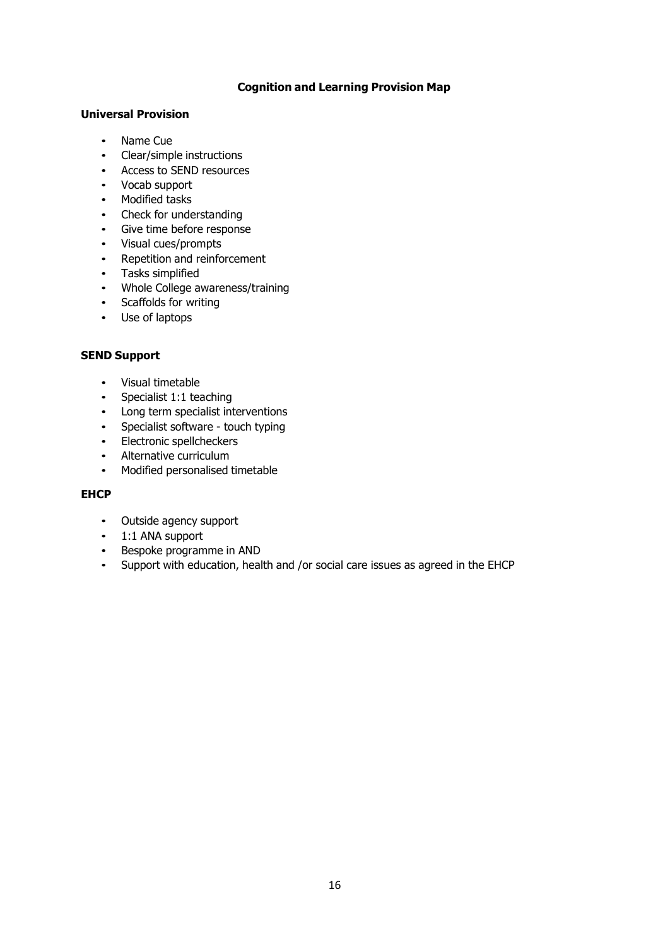### **Cognition and Learning Provision Map**

#### **Universal Provision**

- Name Cue
- Clear/simple instructions
- Access to SEND resources
- Vocab support
- Modified tasks
- Check for understanding
- Give time before response
- Visual cues/prompts
- Repetition and reinforcement
- Tasks simplified
- Whole College awareness/training
- Scaffolds for writing
- Use of laptops

#### **SEND Support**

- Visual timetable<br>• Specialist 1:1 tea
- Specialist 1:1 teaching
- Long term specialist interventions
- Specialist software touch typing<br>• Electronic spellcheckers
- Electronic spellcheckers
- Alternative curriculum
- Modified personalised timetable

#### **EHCP**

- Outside agency support
- 1:1 ANA support
- Bespoke programme in AND
- Support with education, health and /or social care issues as agreed in the EHCP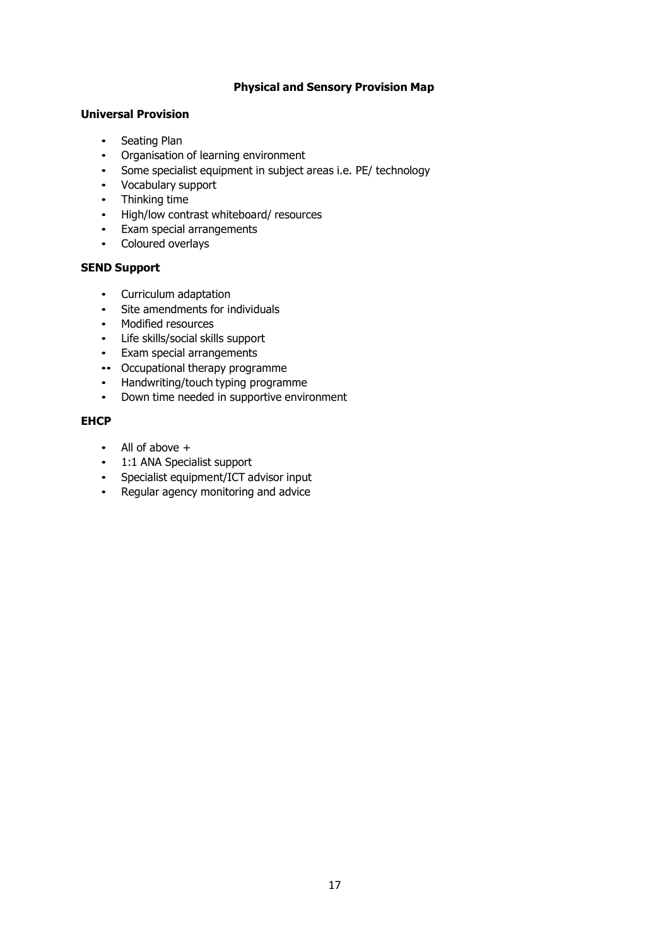#### **Physical and Sensory Provision Map**

#### **Universal Provision**

- Seating Plan
- Organisation of learning environment
- Some specialist equipment in subject areas i.e. PE/ technology
- Vocabulary support
- Thinking time
- High/low contrast whiteboard/ resources
- Exam special arrangements
- Coloured overlays

## **SEND Support**

- Curriculum adaptation
- Site amendments for individuals
- Modified resources
- Life skills/social skills support
- Exam special arrangements
- •• Occupational therapy programme
- Handwriting/touch typing programme
- Down time needed in supportive environment

#### **EHCP**

- All of above +
- 1:1 ANA Specialist support
- Specialist equipment/ICT advisor input
- Regular agency monitoring and advice